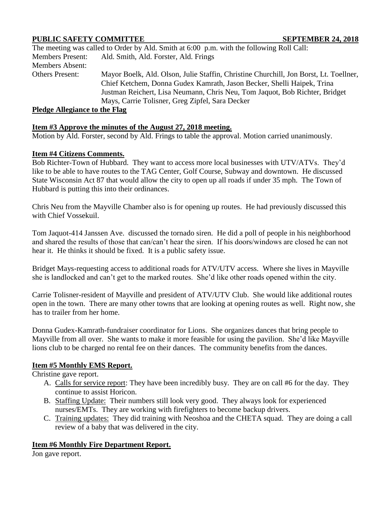# **PUBLIC SAFETY COMMITTEE SEPTEMBER 24, 2018**

|                               | The meeting was called to Order by Ald. Smith at 6:00 p.m. with the following Roll Call: |
|-------------------------------|------------------------------------------------------------------------------------------|
| <b>Members Present:</b>       | Ald. Smith, Ald. Forster, Ald. Frings                                                    |
| Members Absent:               |                                                                                          |
| <b>Others Present:</b>        | Mayor Boelk, Ald. Olson, Julie Staffin, Christine Churchill, Jon Borst, Lt. Toellner,    |
|                               | Chief Ketchem, Donna Gudex Kamrath, Jason Becker, Shelli Haipek, Trina                   |
|                               | Justman Reichert, Lisa Neumann, Chris Neu, Tom Jaquot, Bob Richter, Bridget              |
|                               | Mays, Carrie Tolisner, Greg Zipfel, Sara Decker                                          |
| Pledge Allegiance to the Flag |                                                                                          |

### **Pledge Allegiance to the Flag**

### **Item #3 Approve the minutes of the August 27, 2018 meeting.**

Motion by Ald. Forster, second by Ald. Frings to table the approval. Motion carried unanimously.

### **Item #4 Citizens Comments.**

Bob Richter-Town of Hubbard. They want to access more local businesses with UTV/ATVs. They'd like to be able to have routes to the TAG Center, Golf Course, Subway and downtown. He discussed State Wisconsin Act 87 that would allow the city to open up all roads if under 35 mph. The Town of Hubbard is putting this into their ordinances.

Chris Neu from the Mayville Chamber also is for opening up routes. He had previously discussed this with Chief Vossekuil.

Tom Jaquot-414 Janssen Ave. discussed the tornado siren. He did a poll of people in his neighborhood and shared the results of those that can/can't hear the siren. If his doors/windows are closed he can not hear it. He thinks it should be fixed. It is a public safety issue.

Bridget Mays-requesting access to additional roads for ATV/UTV access. Where she lives in Mayville she is landlocked and can't get to the marked routes. She'd like other roads opened within the city.

Carrie Tolisner-resident of Mayville and president of ATV/UTV Club. She would like additional routes open in the town. There are many other towns that are looking at opening routes as well. Right now, she has to trailer from her home.

Donna Gudex-Kamrath-fundraiser coordinator for Lions. She organizes dances that bring people to Mayville from all over. She wants to make it more feasible for using the pavilion. She'd like Mayville lions club to be charged no rental fee on their dances. The community benefits from the dances.

## **Item #5 Monthly EMS Report.**

Christine gave report.

- A. Calls for service report: They have been incredibly busy. They are on call #6 for the day. They continue to assist Horicon.
- B. Staffing Update: Their numbers still look very good. They always look for experienced nurses/EMTs. They are working with firefighters to become backup drivers.
- C. Training updates: They did training with Neoshoa and the CHETA squad. They are doing a call review of a baby that was delivered in the city.

## **Item #6 Monthly Fire Department Report.**

Jon gave report.